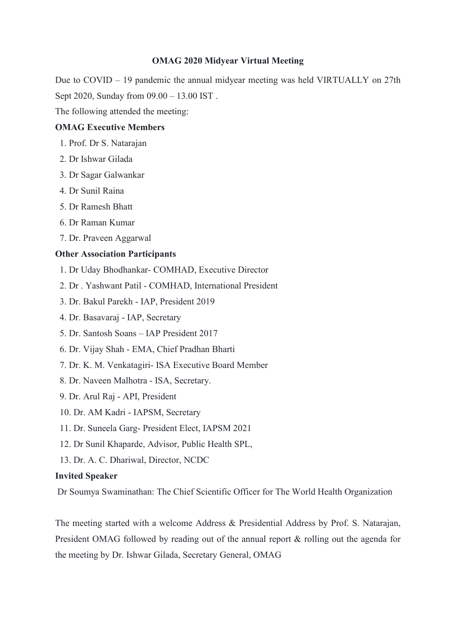## **OMAG 2020 Midyear Virtual Meeting**

Due to COVID – 19 pandemic the annual midyear meeting was held VIRTUALLY on 27th Sept 2020, Sunday from  $09.00 - 13.00$  IST.<br>The following attended the meeting:

### **OMAG Executive Members**

- 1. Prof. Dr S. Natarajan
- 2. Dr Ishwar Gilada
- 3. Dr Sagar Galwankar
- 4. Dr Sunil Raina
- 5. Dr Ramesh Bhatt
- 6. Dr Raman Kumar
- 7. Dr. Praveen Aggarwal

## **Other Association Participants**

- 1. Dr Uday Bhodhankar- COMHAD, Executive Director
- 2. Dr . Yashwant Patil COMHAD, International President
- 3. Dr. Bakul Parekh IAP, President 2019
- 4. Dr. Basavaraj IAP, Secretary
- 5. Dr. Santosh Soans IAP President 2017
- 6. Dr. Vijay Shah EMA, Chief Pradhan Bharti
- 7. Dr. K. M. Venkatagiri- ISA Executive Board Member
- 8. Dr. Naveen Malhotra ISA, Secretary.
- 9. Dr. Arul Raj API, President
- 10. Dr. AM Kadri IAPSM, Secretary
- 11. Dr. Suneela Garg- President Elect, IAPSM 2021
- 12. Dr Sunil Khaparde, Advisor, Public Health SPL,
- 13. Dr. A. C. Dhariwal, Director, NCDC

## **Invited Speaker**

Dr Soumya Swaminathan: The Chief Scientific Officer for The World Health Organization

The meeting started with a welcome Address & Presidential Address by Prof. S. Natarajan, President OMAG followed by reading out of the annual report & rolling out the agenda for the meeting by Dr. Ishwar Gilada, Secretary General, OMAG